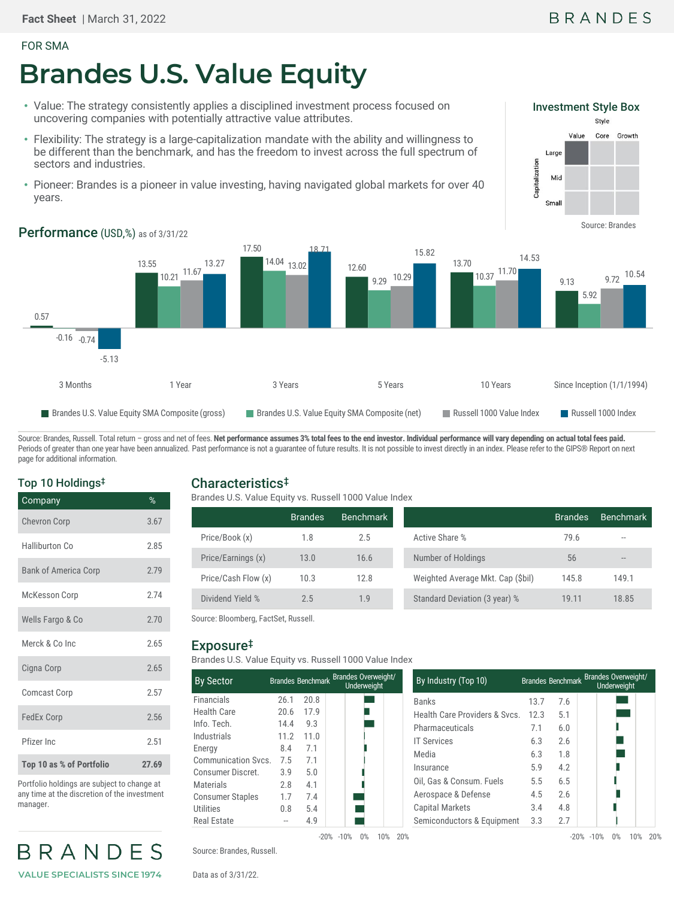#### FOR SMA

# **Brandes U.S. Value Equity**

- Value: The strategy consistently applies a disciplined investment process focused on uncovering companies with potentially attractive value attributes.
- Flexibility: The strategy is a large-capitalization mandate with the ability and willingness to be different than the benchmark, and has the freedom to invest across the full spectrum of sectors and industries.
- Pioneer: Brandes is a pioneer in value investing, having navigated global markets for over 40 years.





Performance (USD,%) as of 3/31/22

Source: Brandes, Russell. Total return - gross and net of fees. Net performance assumes 3% total fees to the end investor. Individual performance will vary depending on actual total fees paid. Periods of greater than one year have been annualized. Past performance is not a guarantee of future results. It is not possible to invest directly in an index. Please refer to the GIPS® Report on next page for additional information.

### Top 10 Holdings‡

| Company                     | %     |
|-----------------------------|-------|
| <b>Chevron Corp</b>         | 3.67  |
| Halliburton Co              | 2.85  |
| <b>Bank of America Corp</b> | 2.79  |
| <b>McKesson Corp</b>        | 2.74  |
| Wells Fargo & Co            | 2.70  |
| Merck & Co Inc              | 2.65  |
| Cigna Corp                  | 2.65  |
| <b>Comcast Corp</b>         | 2.57  |
| <b>FedEx Corp</b>           | 2.56  |
| Pfizer Inc                  | 2.51  |
| Top 10 as % of Portfolio    | 27.69 |

Portfolio holdings are subject to change at any time at the discretion of the investment manager.

# BRANDES **VALUE SPECIALISTS SINCE 1974**

# Characteristics‡

Brandes U.S. Value Equity vs. Russell 1000 Value Index

|                     | <b>Brandes</b> | <b>Benchmark</b> |                                   | <b>Brandes</b> | Benchmark |
|---------------------|----------------|------------------|-----------------------------------|----------------|-----------|
| Price/Book (x)      | 1.8            | 2.5              | Active Share %                    | 79.6           | $- -$     |
| Price/Earnings (x)  | 13.0           | 16.6             | Number of Holdings                | 56             | $- -$     |
| Price/Cash Flow (x) | 10.3           | 12.8             | Weighted Average Mkt. Cap (\$bil) | 145.8          | 149.1     |
| Dividend Yield %    | 2.5            | 1.9              | Standard Deviation (3 year) %     | 19.11          | 18.85     |

Source: Bloomberg, FactSet, Russell.

# Exposure‡

Brandes U.S. Value Equity vs. Russell 1000 Value Index

| <b>By Sector</b>        |      |      | Brandes Benchmark Brandes Overweight/<br>Underweight |
|-------------------------|------|------|------------------------------------------------------|
| <b>Financials</b>       | 26.1 | 20.8 |                                                      |
| Health Care             | 20.6 | 17.9 |                                                      |
| Info. Tech.             | 14.4 | 9.3  |                                                      |
| Industrials             | 11.2 | 11.0 |                                                      |
| Energy                  | 8.4  | 7.1  |                                                      |
| Communication Svcs.     | 7.5  | 7.1  |                                                      |
| Consumer Discret.       | 3.9  | 5.0  |                                                      |
| Materials               | 2.8  | 4.1  |                                                      |
| <b>Consumer Staples</b> | 1.7  | 7.4  |                                                      |
| Utilities               | 0.8  | 5.4  |                                                      |
| Real Estate             |      | 4.9  |                                                      |

-20% -10% 0% 10% 20%

| By Industry (Top 10)         |      | Brandes Benchmark | <b>Brandes Overweight/</b><br>Underweight |
|------------------------------|------|-------------------|-------------------------------------------|
| <b>Banks</b>                 | 13.7 | 7.6               |                                           |
| Health Care Providers & Sycs | 12.3 | 5.1               |                                           |
| Pharmaceuticals              | 7.1  | 6.0               |                                           |
| <b>IT Services</b>           | 6.3  | 2.6               |                                           |
| Media                        | 6.3  | 1.8               |                                           |
| Insurance                    | 5.9  | 4.2               |                                           |
| Oil, Gas & Consum. Fuels     | 5.5  | 6.5               |                                           |
| Aerospace & Defense          | 4.5  | 2.6               |                                           |
| Capital Markets              | 3.4  | 4.8               |                                           |
| Semiconductors & Equipment   | 3.3  | 2.7               |                                           |

-20% -10% 0% 10% 20%

Source: Brandes, Russell.

Data as of 3/31/22.